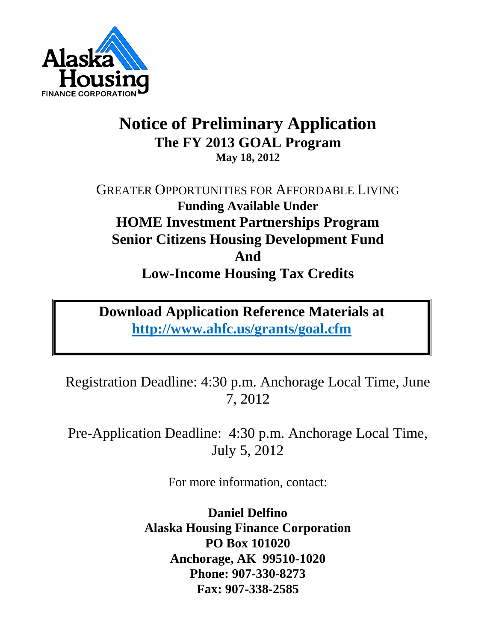

# **Notice of Preliminary Application The FY 2013 GOAL Program May 18, 2012**

GREATER OPPORTUNITIES FOR AFFORDABLE LIVING **Funding Available Under HOME Investment Partnerships Program Senior Citizens Housing Development Fund And Low-Income Housing Tax Credits**

**Download Application Reference Materials at <http://www.ahfc.us/grants/goal.cfm>**

Registration Deadline: 4:30 p.m. Anchorage Local Time, June 7, 2012

Pre-Application Deadline: 4:30 p.m. Anchorage Local Time, July 5, 2012

For more information, contact:

**Daniel Delfino Alaska Housing Finance Corporation PO Box 101020 Anchorage, AK 99510-1020 Phone: 907-330-8273 Fax: 907-338-2585**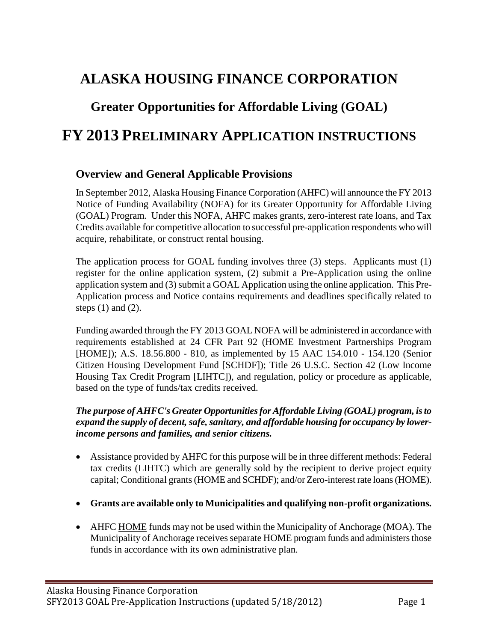## **ALASKA HOUSING FINANCE CORPORATION**

### **Greater Opportunities for Affordable Living (GOAL)**

### **FY 2013 PRELIMINARY APPLICATION INSTRUCTIONS**

#### **Overview and General Applicable Provisions**

In September 2012, Alaska Housing Finance Corporation (AHFC) will announce the FY 2013 Notice of Funding Availability (NOFA) for its Greater Opportunity for Affordable Living (GOAL) Program. Under this NOFA, AHFC makes grants, zero-interest rate loans, and Tax Credits available for competitive allocation to successful pre-application respondents who will acquire, rehabilitate, or construct rental housing.

The application process for GOAL funding involves three (3) steps. Applicants must (1) register for the online application system, (2) submit a Pre-Application using the online application system and (3) submit a GOAL Application using the online application. This Pre-Application process and Notice contains requirements and deadlines specifically related to steps  $(1)$  and  $(2)$ .

Funding awarded through the FY 2013 GOAL NOFA will be administered in accordance with requirements established at 24 CFR Part 92 (HOME Investment Partnerships Program [HOME]); A.S. 18.56.800 - 810, as implemented by 15 AAC 154.010 - 154.120 (Senior Citizen Housing Development Fund [SCHDF]); Title 26 U.S.C. Section 42 (Low Income Housing Tax Credit Program [LIHTC]), and regulation, policy or procedure as applicable, based on the type of funds/tax credits received.

#### *The purpose of AHFC's Greater Opportunities for Affordable Living (GOAL) program, is to*  expand the supply of decent, safe, sanitary, and affordable housing for occupancy by lower*income persons and families, and senior citizens.*

- Assistance provided by AHFC for this purpose will be in three different methods: Federal tax credits (LIHTC) which are generally sold by the recipient to derive project equity capital; Conditional grants (HOME and SCHDF); and/or Zero-interest rate loans (HOME).
- **Grants are available only to Municipalities and qualifying non-profit organizations.**
- AHFC HOME funds may not be used within the Municipality of Anchorage (MOA). The Municipality of Anchorage receives separate HOME program funds and administers those funds in accordance with its own administrative plan.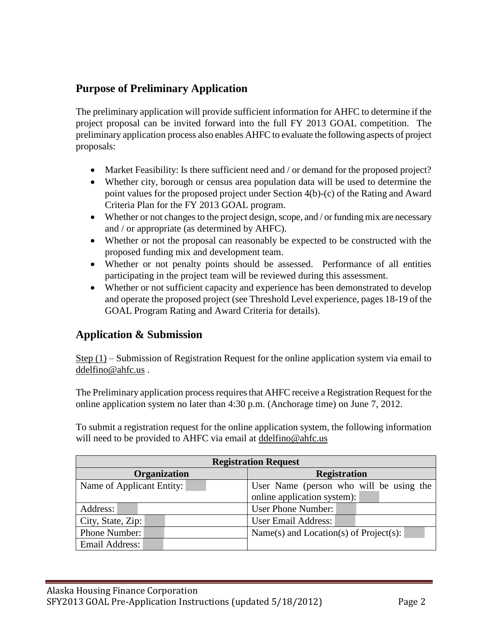#### **Purpose of Preliminary Application**

The preliminary application will provide sufficient information for AHFC to determine if the project proposal can be invited forward into the full FY 2013 GOAL competition. The preliminary application process also enables AHFC to evaluate the following aspects of project proposals:

- Market Feasibility: Is there sufficient need and / or demand for the proposed project?
- Whether city, borough or census area population data will be used to determine the point values for the proposed project under Section 4(b)-(c) of the Rating and Award Criteria Plan for the FY 2013 GOAL program.
- Whether or not changes to the project design, scope, and / or funding mix are necessary and / or appropriate (as determined by AHFC).
- Whether or not the proposal can reasonably be expected to be constructed with the proposed funding mix and development team.
- Whether or not penalty points should be assessed. Performance of all entities participating in the project team will be reviewed during this assessment.
- Whether or not sufficient capacity and experience has been demonstrated to develop and operate the proposed project (see Threshold Level experience, pages 18-19 of the GOAL Program Rating and Award Criteria for details).

#### **Application & Submission**

Step (1) – Submission of Registration Request for the online application system via email to [ddelfino@ahfc.us](mailto:ddelfino@ahfc.us) .

The Preliminary application process requires that AHFC receive a Registration Request for the online application system no later than 4:30 p.m. (Anchorage time) on June 7, 2012.

To submit a registration request for the online application system, the following information will need to be provided to AHFC via email at [ddelfino@ahfc.us](mailto:ddelfino@ahfc.us)

| <b>Registration Request</b> |                                         |
|-----------------------------|-----------------------------------------|
| <b>Organization</b>         | <b>Registration</b>                     |
| Name of Applicant Entity:   | User Name (person who will be using the |
|                             | online application system):             |
| Address:                    | <b>User Phone Number:</b>               |
| City, State, Zip:           | User Email Address:                     |
| Phone Number:               | Name(s) and Location(s) of Project(s):  |
| Email Address:              |                                         |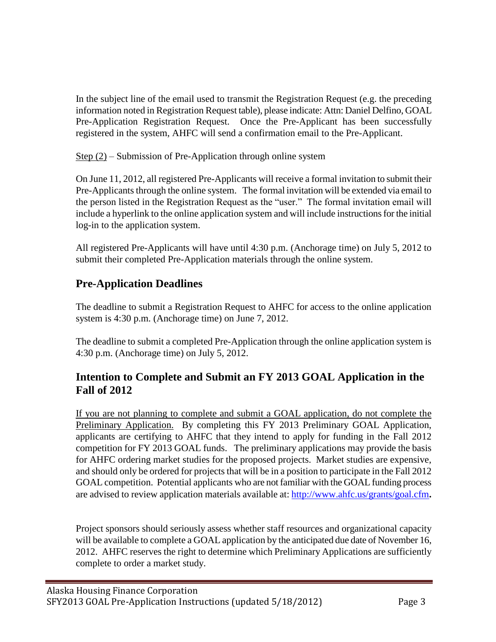In the subject line of the email used to transmit the Registration Request (e.g. the preceding information noted in Registration Request table), please indicate: Attn: Daniel Delfino, GOAL Pre-Application Registration Request. Once the Pre-Applicant has been successfully registered in the system, AHFC will send a confirmation email to the Pre-Applicant.

Step (2) – Submission of Pre-Application through online system

On June 11, 2012, all registered Pre-Applicants will receive a formal invitation to submit their Pre-Applicants through the online system. The formal invitation will be extended via email to the person listed in the Registration Request as the "user." The formal invitation email will include a hyperlink to the online application system and will include instructions for the initial log-in to the application system.

All registered Pre-Applicants will have until 4:30 p.m. (Anchorage time) on July 5, 2012 to submit their completed Pre-Application materials through the online system.

#### **Pre-Application Deadlines**

The deadline to submit a Registration Request to AHFC for access to the online application system is 4:30 p.m. (Anchorage time) on June 7, 2012.

The deadline to submit a completed Pre-Application through the online application system is 4:30 p.m. (Anchorage time) on July 5, 2012.

#### **Intention to Complete and Submit an FY 2013 GOAL Application in the Fall of 2012**

If you are not planning to complete and submit a GOAL application, do not complete the Preliminary Application. By completing this FY 2013 Preliminary GOAL Application, applicants are certifying to AHFC that they intend to apply for funding in the Fall 2012 competition for FY 2013 GOAL funds. The preliminary applications may provide the basis for AHFC ordering market studies for the proposed projects. Market studies are expensive, and should only be ordered for projects that will be in a position to participate in the Fall 2012 GOAL competition. Potential applicants who are not familiar with the GOAL funding process are advised to review application materials available at: <http://www.ahfc.us/grants/goal.cfm>**.**

Project sponsors should seriously assess whether staff resources and organizational capacity will be available to complete a GOAL application by the anticipated due date of November 16, 2012. AHFC reserves the right to determine which Preliminary Applications are sufficiently complete to order a market study.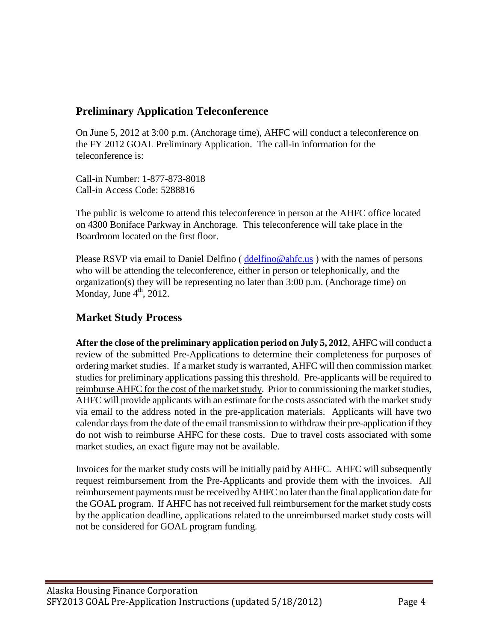#### **Preliminary Application Teleconference**

On June 5, 2012 at 3:00 p.m. (Anchorage time), AHFC will conduct a teleconference on the FY 2012 GOAL Preliminary Application. The call-in information for the teleconference is:

Call-in Number: 1-877-873-8018 Call-in Access Code: 5288816

The public is welcome to attend this teleconference in person at the AHFC office located on 4300 Boniface Parkway in Anchorage. This teleconference will take place in the Boardroom located on the first floor.

Please RSVP via email to Daniel Delfino  $(d \cdot d \cdot f \cdot \cdot \cdot)$  with the names of persons who will be attending the teleconference, either in person or telephonically, and the organization(s) they will be representing no later than 3:00 p.m. (Anchorage time) on Monday, June  $4^{\text{th}}$ , 2012.

### **Market Study Process**

**After the close of the preliminary application period on July 5, 2012**, AHFC will conduct a review of the submitted Pre-Applications to determine their completeness for purposes of ordering market studies. If a market study is warranted, AHFC will then commission market studies for preliminary applications passing this threshold. Pre-applicants will be required to reimburse AHFC for the cost of the market study. Prior to commissioning the market studies, AHFC will provide applicants with an estimate for the costs associated with the market study via email to the address noted in the pre-application materials. Applicants will have two calendar days from the date of the email transmission to withdraw their pre-application if they do not wish to reimburse AHFC for these costs. Due to travel costs associated with some market studies, an exact figure may not be available.

Invoices for the market study costs will be initially paid by AHFC. AHFC will subsequently request reimbursement from the Pre-Applicants and provide them with the invoices. All reimbursement payments must be received by AHFC no later than the final application date for the GOAL program. If AHFC has not received full reimbursement for the market study costs by the application deadline, applications related to the unreimbursed market study costs will not be considered for GOAL program funding.